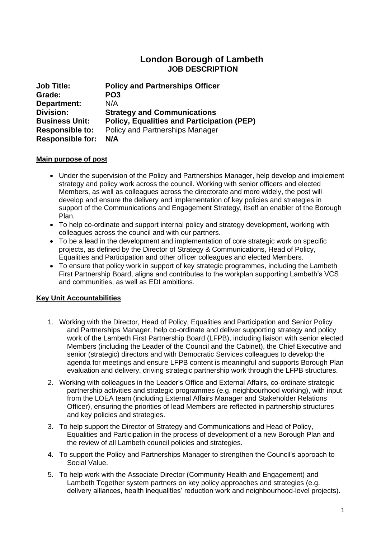### **London Borough of Lambeth JOB DESCRIPTION**

| <b>Job Title:</b>       | <b>Policy and Partnerships Officer</b>            |
|-------------------------|---------------------------------------------------|
| Grade:                  | PO <sub>3</sub>                                   |
| Department:             | N/A                                               |
| <b>Division:</b>        | <b>Strategy and Communications</b>                |
| <b>Business Unit:</b>   | <b>Policy, Equalities and Participation (PEP)</b> |
| <b>Responsible to:</b>  | <b>Policy and Partnerships Manager</b>            |
| <b>Responsible for:</b> | N/A                                               |

#### **Main purpose of post**

- Under the supervision of the Policy and Partnerships Manager, help develop and implement strategy and policy work across the council. Working with senior officers and elected Members, as well as colleagues across the directorate and more widely, the post will develop and ensure the delivery and implementation of key policies and strategies in support of the Communications and Engagement Strategy, itself an enabler of the Borough Plan.
- To help co-ordinate and support internal policy and strategy development, working with colleagues across the council and with our partners.
- To be a lead in the development and implementation of core strategic work on specific projects, as defined by the Director of Strategy & Communications, Head of Policy, Equalities and Participation and other officer colleagues and elected Members.
- To ensure that policy work in support of key strategic programmes, including the Lambeth First Partnership Board, aligns and contributes to the workplan supporting Lambeth's VCS and communities, as well as EDI ambitions.

#### **Key Unit Accountabilities**

- 1. Working with the Director, Head of Policy, Equalities and Participation and Senior Policy and Partnerships Manager, help co-ordinate and deliver supporting strategy and policy work of the Lambeth First Partnership Board (LFPB), including liaison with senior elected Members (including the Leader of the Council and the Cabinet), the Chief Executive and senior (strategic) directors and with Democratic Services colleagues to develop the agenda for meetings and ensure LFPB content is meaningful and supports Borough Plan evaluation and delivery, driving strategic partnership work through the LFPB structures.
- 2. Working with colleagues in the Leader's Office and External Affairs, co-ordinate strategic partnership activities and strategic programmes (e.g. neighbourhood working), with input from the LOEA team (including External Affairs Manager and Stakeholder Relations Officer), ensuring the priorities of lead Members are reflected in partnership structures and key policies and strategies.
- 3. To help support the Director of Strategy and Communications and Head of Policy, Equalities and Participation in the process of development of a new Borough Plan and the review of all Lambeth council policies and strategies.
- 4. To support the Policy and Partnerships Manager to strengthen the Council's approach to Social Value.
- 5. To help work with the Associate Director (Community Health and Engagement) and Lambeth Together system partners on key policy approaches and strategies (e.g. delivery alliances, health inequalities' reduction work and neighbourhood-level projects).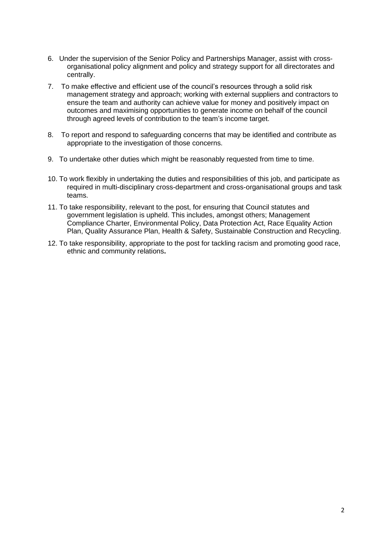- 6. Under the supervision of the Senior Policy and Partnerships Manager, assist with crossorganisational policy alignment and policy and strategy support for all directorates and centrally.
- 7. To make effective and efficient use of the council's resources through a solid risk management strategy and approach; working with external suppliers and contractors to ensure the team and authority can achieve value for money and positively impact on outcomes and maximising opportunities to generate income on behalf of the council through agreed levels of contribution to the team's income target.
- 8. To report and respond to safeguarding concerns that may be identified and contribute as appropriate to the investigation of those concerns.
- 9. To undertake other duties which might be reasonably requested from time to time.
- 10. To work flexibly in undertaking the duties and responsibilities of this job, and participate as required in multi-disciplinary cross-department and cross-organisational groups and task teams.
- 11. To take responsibility, relevant to the post, for ensuring that Council statutes and government legislation is upheld. This includes, amongst others; Management Compliance Charter, Environmental Policy, Data Protection Act, Race Equality Action Plan, Quality Assurance Plan, Health & Safety, Sustainable Construction and Recycling.
- 12. To take responsibility, appropriate to the post for tackling racism and promoting good race, ethnic and community relations**.**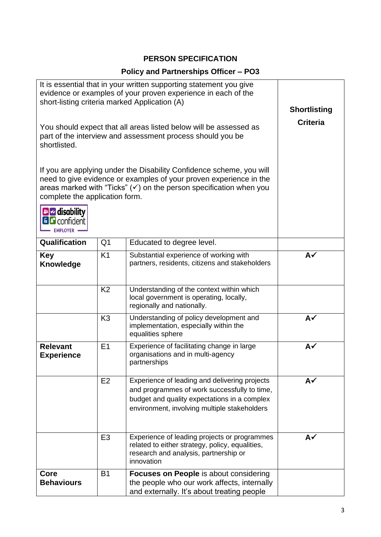## **PERSON SPECIFICATION**

# **Policy and Partnerships Officer – PO3**

| It is essential that in your written supporting statement you give<br>evidence or examples of your proven experience in each of the<br>short-listing criteria marked Application (A)<br>You should expect that all areas listed below will be assessed as<br>part of the interview and assessment process should you be<br>shortlisted.<br>If you are applying under the Disability Confidence scheme, you will<br>need to give evidence or examples of your proven experience in the<br>areas marked with "Ticks" $(\check{\mathsf{y}})$ on the person specification when you<br>complete the application form.<br><b>B</b> a disability<br><b>BP</b> confident<br><b>EMPLOYER</b> | <b>Shortlisting</b><br><b>Criteria</b> |                                                                                                                                                                                               |               |
|-------------------------------------------------------------------------------------------------------------------------------------------------------------------------------------------------------------------------------------------------------------------------------------------------------------------------------------------------------------------------------------------------------------------------------------------------------------------------------------------------------------------------------------------------------------------------------------------------------------------------------------------------------------------------------------|----------------------------------------|-----------------------------------------------------------------------------------------------------------------------------------------------------------------------------------------------|---------------|
| Qualification                                                                                                                                                                                                                                                                                                                                                                                                                                                                                                                                                                                                                                                                       | Q <sub>1</sub>                         | Educated to degree level.                                                                                                                                                                     |               |
| <b>Key</b><br><b>Knowledge</b>                                                                                                                                                                                                                                                                                                                                                                                                                                                                                                                                                                                                                                                      | K <sub>1</sub>                         | Substantial experience of working with<br>partners, residents, citizens and stakeholders                                                                                                      | $A\checkmark$ |
|                                                                                                                                                                                                                                                                                                                                                                                                                                                                                                                                                                                                                                                                                     | K <sub>2</sub>                         | Understanding of the context within which<br>local government is operating, locally,<br>regionally and nationally.                                                                            |               |
|                                                                                                                                                                                                                                                                                                                                                                                                                                                                                                                                                                                                                                                                                     | K <sub>3</sub>                         | Understanding of policy development and<br>implementation, especially within the<br>equalities sphere                                                                                         | A✓            |
| <b>Relevant</b><br><b>Experience</b>                                                                                                                                                                                                                                                                                                                                                                                                                                                                                                                                                                                                                                                | E1                                     | Experience of facilitating change in large<br>organisations and in multi-agency<br>partnerships                                                                                               | $A\checkmark$ |
|                                                                                                                                                                                                                                                                                                                                                                                                                                                                                                                                                                                                                                                                                     | E <sub>2</sub>                         | Experience of leading and delivering projects<br>and programmes of work successfully to time,<br>budget and quality expectations in a complex<br>environment, involving multiple stakeholders | $A\checkmark$ |
|                                                                                                                                                                                                                                                                                                                                                                                                                                                                                                                                                                                                                                                                                     | E <sub>3</sub>                         | Experience of leading projects or programmes<br>related to either strategy, policy, equalities,<br>research and analysis, partnership or<br>innovation                                        | A√            |
| Core<br><b>Behaviours</b>                                                                                                                                                                                                                                                                                                                                                                                                                                                                                                                                                                                                                                                           | <b>B1</b>                              | <b>Focuses on People</b> is about considering<br>the people who our work affects, internally<br>and externally. It's about treating people                                                    |               |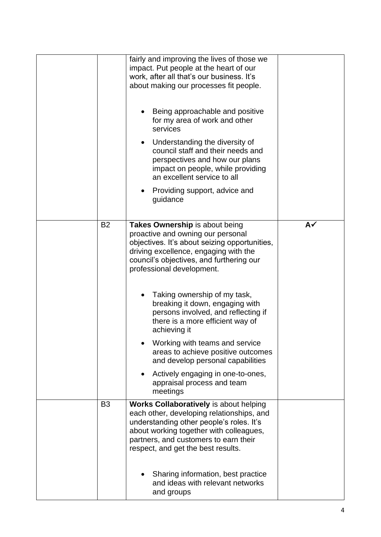|                | fairly and improving the lives of those we<br>impact. Put people at the heart of our<br>work, after all that's our business. It's<br>about making our processes fit people.                                                                                      |    |
|----------------|------------------------------------------------------------------------------------------------------------------------------------------------------------------------------------------------------------------------------------------------------------------|----|
|                | Being approachable and positive<br>for my area of work and other<br>services                                                                                                                                                                                     |    |
|                | Understanding the diversity of<br>council staff and their needs and<br>perspectives and how our plans<br>impact on people, while providing<br>an excellent service to all                                                                                        |    |
|                | Providing support, advice and<br>guidance                                                                                                                                                                                                                        |    |
| <b>B2</b>      | Takes Ownership is about being<br>proactive and owning our personal<br>objectives. It's about seizing opportunities,<br>driving excellence, engaging with the<br>council's objectives, and furthering our<br>professional development.                           | Α✓ |
|                | Taking ownership of my task,<br>breaking it down, engaging with<br>persons involved, and reflecting if<br>there is a more efficient way of<br>achieving it                                                                                                       |    |
|                | Working with teams and service<br>areas to achieve positive outcomes<br>and develop personal capabilities                                                                                                                                                        |    |
|                | Actively engaging in one-to-ones,<br>appraisal process and team<br>meetings                                                                                                                                                                                      |    |
| B <sub>3</sub> | <b>Works Collaboratively is about helping</b><br>each other, developing relationships, and<br>understanding other people's roles. It's<br>about working together with colleagues,<br>partners, and customers to earn their<br>respect, and get the best results. |    |
|                | Sharing information, best practice<br>and ideas with relevant networks<br>and groups                                                                                                                                                                             |    |